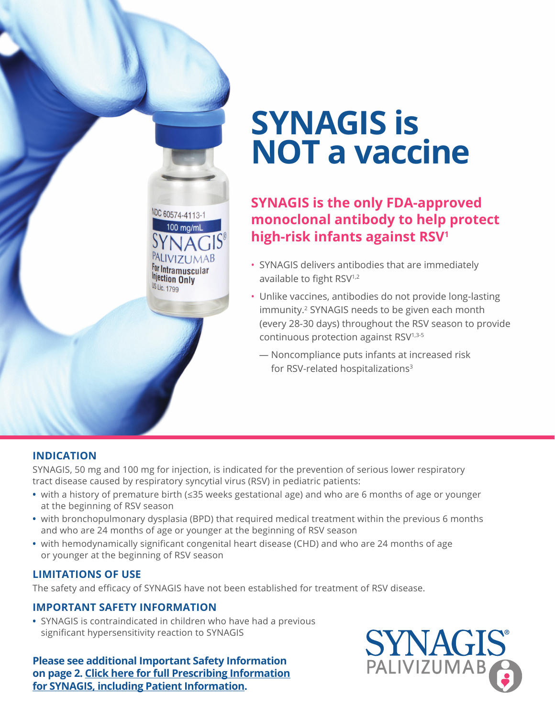

# **SYNAGIS is NOT a vaccine**

## **SYNAGIS is the only FDA-approved monoclonal antibody to help protect high-risk infants against RSV1**

- SYNAGIS delivers antibodies that are immediately available to fight RSV<sup>1,2</sup>
- Unlike vaccines, antibodies do not provide long-lasting immunity.2 SYNAGIS needs to be given each month (every 28-30 days) throughout the RSV season to provide continuous protection against RSV1,3-5
	- Noncompliance puts infants at increased risk for RSV-related hospitalizations<sup>3</sup>

## **INDICATION**

SYNAGIS, 50 mg and 100 mg for injection, is indicated for the prevention of serious lower respiratory tract disease caused by respiratory syncytial virus (RSV) in pediatric patients:

- with a history of premature birth (≤35 weeks gestational age) and who are 6 months of age or younger at the beginning of RSV season
- with bronchopulmonary dysplasia (BPD) that required medical treatment within the previous 6 months and who are 24 months of age or younger at the beginning of RSV season
- with hemodynamically significant congenital heart disease (CHD) and who are 24 months of age or younger at the beginning of RSV season

### **LIMITATIONS OF USE**

The safety and efficacy of SYNAGIS have not been established for treatment of RSV disease.

### **IMPORTANT SAFETY INFORMATION**

**•** SYNAGIS is contraindicated in children who have had a previous significant hypersensitivity reaction to SYNAGIS

**Please see additional Important Safety Information [on page 2. Click here for full Prescribing Information](https://synagishcp.com/synagis.pdf) for SYNAGIS, including Patient Information.**